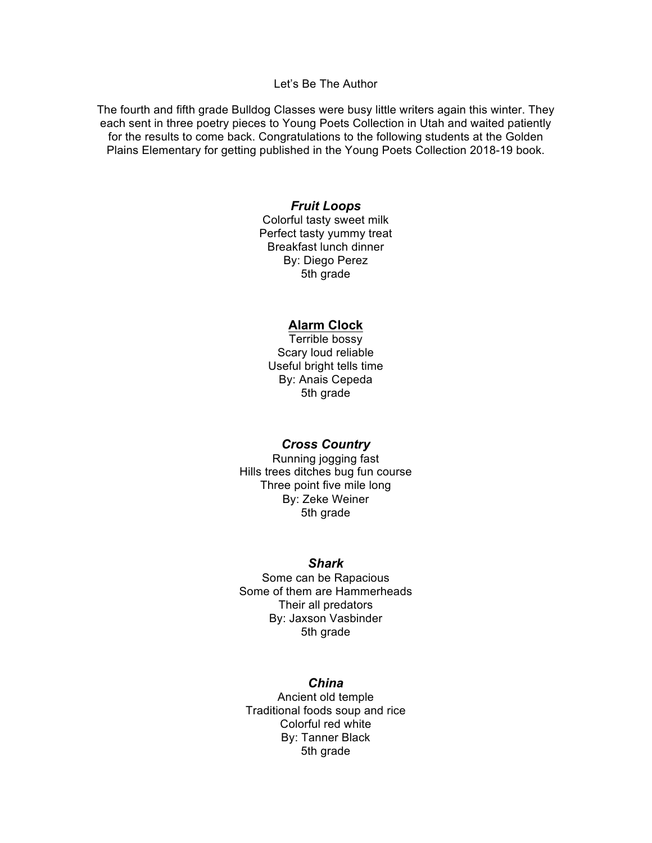## Let's Be The Author

The fourth and fifth grade Bulldog Classes were busy little writers again this winter. They each sent in three poetry pieces to Young Poets Collection in Utah and waited patiently for the results to come back. Congratulations to the following students at the Golden Plains Elementary for getting published in the Young Poets Collection 2018-19 book.

# *Fruit Loops*

Colorful tasty sweet milk Perfect tasty yummy treat Breakfast lunch dinner By: Diego Perez 5th grade

#### **Alarm Clock**

Terrible bossy Scary loud reliable Useful bright tells time By: Anais Cepeda 5th grade

#### *Cross Country*

Running jogging fast Hills trees ditches bug fun course Three point five mile long By: Zeke Weiner 5th grade

#### *Shark*

Some can be Rapacious Some of them are Hammerheads Their all predators By: Jaxson Vasbinder 5th grade

#### *China*

Ancient old temple Traditional foods soup and rice Colorful red white By: Tanner Black 5th grade